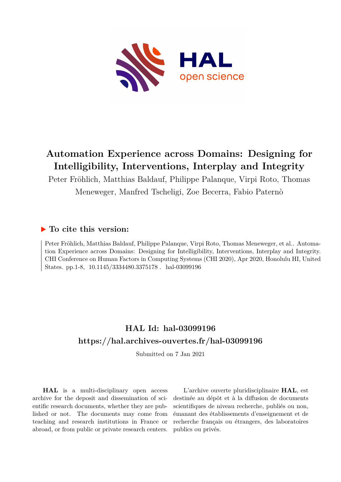

# **Automation Experience across Domains: Designing for Intelligibility, Interventions, Interplay and Integrity**

Peter Fröhlich, Matthias Baldauf, Philippe Palanque, Virpi Roto, Thomas Meneweger, Manfred Tscheligi, Zoe Becerra, Fabio Paternò

# **To cite this version:**

Peter Fröhlich, Matthias Baldauf, Philippe Palanque, Virpi Roto, Thomas Meneweger, et al.. Automation Experience across Domains: Designing for Intelligibility, Interventions, Interplay and Integrity. CHI Conference on Human Factors in Computing Systems (CHI 2020), Apr 2020, Honolulu HI, United States. pp.1-8, 10.1145/3334480.3375178. hal-03099196

# **HAL Id: hal-03099196 <https://hal.archives-ouvertes.fr/hal-03099196>**

Submitted on 7 Jan 2021

**HAL** is a multi-disciplinary open access archive for the deposit and dissemination of scientific research documents, whether they are published or not. The documents may come from teaching and research institutions in France or abroad, or from public or private research centers.

L'archive ouverte pluridisciplinaire **HAL**, est destinée au dépôt et à la diffusion de documents scientifiques de niveau recherche, publiés ou non, émanant des établissements d'enseignement et de recherche français ou étrangers, des laboratoires publics ou privés.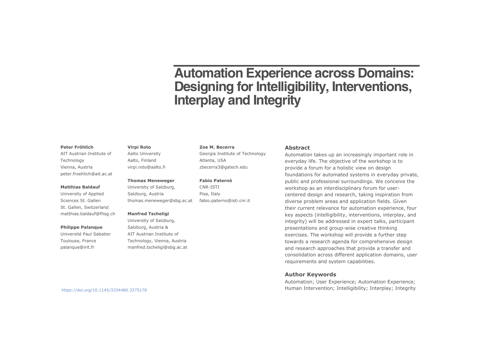# **Automation Experience across Domains: Designing for Intelligibility, Interventions, Interplay and Integrity**

#### **Peter Fröhlich**

 AIT Austrian Institute of **Technology**  Vienna, Austriapeter.froehlich@ait.ac.at

#### **Matthias Baldauf**

University of Applied Sciences St. Gallen St. Gallen, Switzerlandmatthias.baldauf@fhsg.ch

#### **Philippe Palanque**

 Université Paul SabatierToulouse, France palanque@irit.fr

#### **Virpi Roto**

 Aalto UniversityAalto, Finlandvirpi.roto@aalto.fi

#### **Thomas Meneweger**

University of Salzburg, Salzburg, Austria thomas.meneweger@sbg.ac.at

#### **Manfred Tscheligi**

University of Salzburg, Salzburg, Austria & AIT Austrian Institute of Technology, Vienna, Austriamanfred.tscheligi@sbg.ac.at

#### **Zoe M. Becerra**

Georgia Institute of Technology Atlanta, USAzbecerra3@gatech.edu

#### **Fabio Paternó**

CNR-ISTI Pisa, Italyfabio.paterno@isti.cnr.it

#### **Abstract**

 Automation takes up an increasingly important role in everyday life. The objective of the workshop is to provide a forum for a holistic view on design foundations for automated systems in everyday private, public and professional surroundings. We conceive the workshop as an interdisciplinary forum for usercentered design and research, taking inspiration from diverse problem areas and application fields. Given their current relevance for automation experience, four key aspects (intelligibility, interventions, interplay, and integrity) will be addressed in expert talks, participant presentations and group-wise creative thinking exercises. The workshop will provide a further step towards a research agenda for comprehensive design and research approaches that provide a transfer and consolidation across different application domains, user requirements and system capabilities.

#### **Author Keywords**

 Automation; User Experience; Automation Experience; Human Intervention; Intelligibility; Interplay; Integrity

https://doi.org/10.1145/3334480.3375178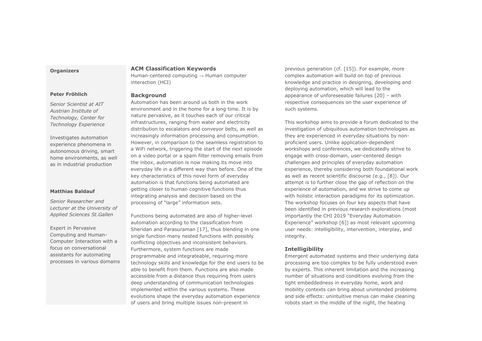#### **Organizers**

#### **Peter Fröhlich**

*Senior Scientist at AIT Austrian Institute of Technology, Center for Technology Experience* 

Investigates automation experience phenomena in autonomous driving, smart home environments, as well as in industrial production

#### **Matthias Baldauf**

*Senior Researcher and Lecturer at the University of Applied Sciences St.Gallen* 

Expert in Pervasive Computing and Human-Computer Interaction with a focus on conversational assistants for automating processes in various domains

# **ACM Classification Keywords**

Human-centered computing  $\rightarrow$  Human computer interaction (HCI)

#### **Background**

 Automation has been around us both in the work environment and in the home for a long time. It is by nature pervasive, as it touches each of our critical infrastructures, ranging from water and electricity distribution to escalators and conveyor belts, as well as increasingly information processing and consumption. However, in comparison to the seamless registration to a WiFi network, triggering the start of the next episode on a video portal or a spam filter removing emails from the inbox, automation is now making its move into everyday life in a different way than before. One of the key characteristics of this novel form of everyday automation is that functions being automated are getting closer to human cognitive functions thus integrating analysis and decision based on the processing of "large" information sets.

Functions being automated are also of higher-level automation according to the classification from Sheridan and Parasuraman [17], thus blending in one single function many nested functions with possibly conflicting objectives and inconsistent behaviors. Furthermore, system functions are made programmable and integrateable, requiring more technology skills and knowledge for the end users to be able to benefit from them. Functions are also made accessible from a distance thus requiring from users deep understanding of communication technologies implemented within the various systems. These evolutions shape the everyday automation experience of users and bring multiple issues non-present in

previous generation (cf. [15]). For example, more complex automation will build on top of previous knowledge and practice in designing, developing and deploying automation, which will lead to the appearance of unforeseeable failures [20] – with respective consequences on the user experience of such systems.

This workshop aims to provide a forum dedicated to the investigation of ubiquitous automation technologies as they are experienced in everyday situations by nonproficient users. Unlike application-dependent workshops and conferences, we dedicatedly strive to engage with cross-domain, user-centered design challenges and principles of everyday automation experience, thereby considering both foundational work as well as recent scientific discourse (e.g., [8]). Our attempt is to further close the gap of reflection on the experience of automation, and we strive to come up with holistic interaction paradigms for its optimization. The workshop focuses on four key aspects that have been identified in previous research explorations (most importantly the CHI 2019 "Everyday Automation Experience" workshop [6]) as most relevant upcoming user needs: intelligibility, intervention, interplay, and integrity.

# **Intelligibility**

 Emergent automated systems and their underlying data processing are too complex to be fully understood even by experts. This inherent limitation and the increasing number of situations and conditions evolving from the tight embeddedness in everyday home, work and mobility contexts can bring about unintended problems and side effects: unintuitive menus can make cleaning robots start in the middle of the night, the heating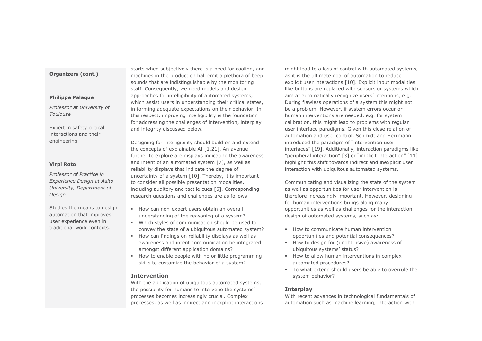## **Organizers (cont.)**

#### **Philippe Palaque**

*Professor at University of Toulouse* 

Expert in safety critical interactions and their engineering

#### **Virpi Roto**

*Professor of Practice in Experience Design at Aalto University, Department of Design* 

Studies the means to design automation that improves user experience even in traditional work contexts.

starts when subjectively there is a need for cooling, and machines in the production hall emit a plethora of beep sounds that are indistinguishable by the monitoring staff. Consequently, we need models and design approaches for intelligibility of automated systems, which assist users in understanding their critical states, in forming adequate expectations on their behavior. In this respect, improving intelligibility is the foundation for addressing the challenges of intervention, interplay and integrity discussed below.

Designing for intelligibility should build on and extend the concepts of explainable AI [1,21]. An avenue further to explore are displays indicating the awareness and intent of an automated system [7], as well as reliability displays that indicate the degree of uncertainty of a system [10]. Thereby, it is important to consider all possible presentation modalities, including auditory and tactile cues [5]. Corresponding research questions and challenges are as follows:

- **B** How can non-expert users obtain an overall understanding of the reasoning of a system?
- ß Which styles of communication should be used toconvey the state of a ubiquitous automated system?
- ß How can findings on reliability displays as well as awareness and intent communication be integratedamongst different application domains?
- **B** How to enable people with no or little programming skills to customize the behavior of a system?

# **Intervention**

 With the application of ubiquitous automated systems, the possibility for humans to intervene the systems'processes becomes increasingly crucial. Complex processes, as well as indirect and inexplicit interactions might lead to a loss of control with automated systems, as it is the ultimate goal of automation to reduce explicit user interactions [10]. Explicit input modalities like buttons are replaced with sensors or systems which aim at automatically recognize users' intentions, e.g. During flawless operations of a system this might not be a problem. However, if system errors occur or human interventions are needed, e.g. for system calibration, this might lead to problems with regular user interface paradigms. Given this close relation of automation and user control, Schmidt and Herrmann introduced the paradigm of "intervention user interfaces" [19]. Additionally, interaction paradigms like "peripheral interaction" [3] or "implicit interaction" [11] highlight this shift towards indirect and inexplicit user interaction with ubiquitous automated systems.

Communicating and visualizing the state of the system as well as opportunities for user intervention is therefore increasingly important. However, designing for human interventions brings along many opportunities as well as challenges for the interaction design of automated systems, such as:

- **B** How to communicate human intervention opportunities and potential consequences?
- **How to design for (unobtrusive) awareness of** ubiquitous systems' status?
- **B** How to allow human interventions in complex automated procedures?
- **To what extend should users be able to overrule the** system behavior?

# **Interplay**

 With recent advances in technological fundamentals of automation such as machine learning, interaction with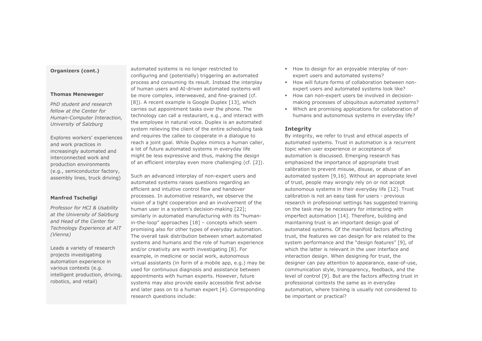# **Organizers (cont.)**

#### **Thomas Meneweger**

*PhD student and research fellow at the Center for Human-Computer Interaction, University of Salzburg* 

Explores workers' experiences and work practices in increasingly automated and interconnected work and production environments (e.g., semiconductor factory, assembly lines, truck driving)

## **Manfred Tscheligi**

*Professor for HCI & Usability at the University of Salzburg and Head of the Center for Technology Experience at AIT (Vienna)* 

Leads a variety of research projects investigating automation experience in various contexts (e.g. intelligent production, driving, robotics, and retail)

automated systems is no longer restricted to configuring and (potentially) triggering an automated process and consuming its result. Instead the interplay of human users and AI-driven automated systems will be more complex, interweaved, and fine-grained (cf. [8]). A recent example is Google Duplex [13], which carries out appointment tasks over the phone. The technology can call a restaurant, e.g., and interact with the employee in natural voice. Duplex is an automated system relieving the client of the entire scheduling task and requires the callee to cooperate in a dialogue to reach a joint goal. While Duplex mimics a human caller, a lot of future automated systems in everyday life might be less expressive and thus, making the design of an efficient interplay even more challenging (cf. [2]).

Such an advanced interplay of non-expert users and automated systems raises questions regarding an efficient and intuitive control flow and handover processes. In automotive research, we observe the vision of a tight cooperation and an involvement of the human user in a system's decision-making [22]; similarly in automated manufacturing with its "humanin-the-loop" approaches [18] – concepts which seem promising also for other types of everyday automation. The overall task distribution between smart automated systems and humans and the role of human experience and/or creativity are worth investigating [8]. For example, in medicine or social work, autonomous virtual assistants (in form of a mobile app, e.g.) may be used for continuous diagnosis and assistance between appointments with human experts. However, future systems may also provide easily accessible first advise and later pass on to a human expert [4]. Corresponding research questions include:

- **Butake** How to design for an enjoyable interplay of nonexpert users and automated systems?
- **How will future forms of collaboration between non**expert users and automated systems look like?
- **B** How can non-expert users be involved in decisionmaking processes of ubiquitous automated systems?
- ß Which are promising applications for collaboration of humans and autonomous systems in everyday life?

# **Integrity**

 By integrity, we refer to trust and ethical aspects of automated systems. Trust in automation is a recurrent topic when user experience or acceptance of automation is discussed. Emerging research has emphasized the importance of appropriate trust calibration to prevent misuse, disuse, or abuse of an automated system [9,16]. Without an appropriate level of trust, people may wrongly rely on or not accept autonomous systems in their everyday life [12]. Trust calibration is not an easy task for users - previous research in professional settings has suggested training on the task may be necessary for interacting with imperfect automation [14]. Therefore, building and maintaining trust is an important design goal of automated systems. Of the manifold factors affecting trust, the features we can design for are related to the system performance and the "design features" [9], of which the latter is relevant in the user interface and interaction design. When designing for trust, the designer can pay attention to appearance, ease-of-use, communication style, transparency, feedback, and the level of control [9]. But are the factors affecting trust in professional contexts the same as in everyday automation, where training is usually not considered to be important or practical?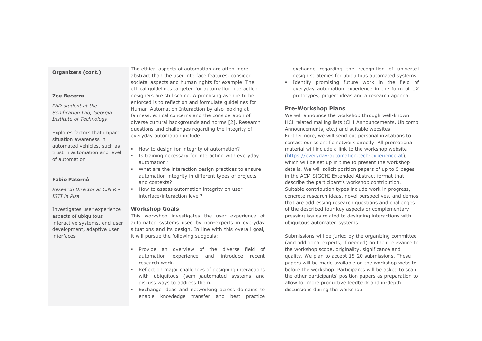#### **Organizers (cont.)**

#### **Zoe Becerra**

*PhD student at the Sonification Lab, Georgia Institute of Technology* 

Explores factors that impact situation awareness in automated vehicles, such as trust in automation and level of automation

### **Fabio Paternó**

*Research Director at C.N.R.-ISTI in Pisa* 

Investigates user experience aspects of ubiquitous interactive systems, end-user development, adaptive user interfaces

The ethical aspects of automation are often more abstract than the user interface features, consider societal aspects and human rights for example. The ethical guidelines targeted for automation interaction designers are still scarce. A promising avenue to be enforced is to reflect on and formulate guidelines for Human-Automation Interaction by also looking at fairness, ethical concerns and the consideration of diverse cultural backgrounds and norms [2]. Research questions and challenges regarding the integrity of everyday automation include:

- **B** How to design for integrity of automation?
- ß Is training necessary for interacting with everydayautomation?
- **What are the interaction design practices to ensure** automation integrity in different types of projectsand contexts?
- **How to assess automation integrity on user** interface/interaction level?

#### **Workshop Goals**

 This workshop investigates the user experience of automated systems used by non-experts in everyday situations and its design. In line with this overall goal, it will pursue the following subgoals:

- ß Provide an overview of the diverse field of automation experience and introduce recentresearch work.
- Reflect on major challenges of designing interactions with ubiquitous (semi-)automated systems anddiscuss ways to address them.
- **Exchange ideas and networking across domains to** ßenable knowledge transfer and best practice

exchange regarding the recognition of universal design strategies for ubiquitous automated systems.

 ß Identify promising future work in the field of everyday automation experience in the form of UXprototypes, project ideas and a research agenda.

#### **Pre-Workshop Plans**

 We will announce the workshop through well-known HCI related mailing lists (CHI Announcements, Ubicomp Announcements, etc.) and suitable websites. Furthermore, we will send out personal invitations to contact our scientific network directly. All promotional material will include a link to the workshop website (https://everyday-automation.tech-experience.at), which will be set up in time to present the workshop details. We will solicit position papers of up to 5 pages in the ACM SIGCHI Extended Abstract format that describe the participant's workshop contribution. Suitable contribution types include work in progress, concrete research ideas, novel perspectives, and demos that are addressing research questions and challenges of the described four key aspects or complementary pressing issues related to designing interactions with ubiquitous automated systems.

Submissions will be juried by the organizing committee (and additional experts, if needed) on their relevance to the workshop scope, originality, significance and quality. We plan to accept 15-20 submissions. These papers will be made available on the workshop website before the workshop. Participants will be asked to scan the other participants' position papers as preparation to allow for more productive feedback and in-depth discussions during the workshop.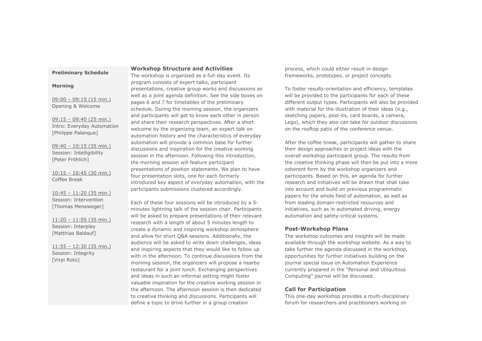#### **Preliminary Schedule**

#### **Morning**

 $09:00 - 09:15(15 min.)$ Opening & Welcome

09:15 – 09:40 (25 min.) Intro: Everyday Automation [Philippe Palanque]

09:40 – 10:15 (35 min.) Session: Intelligibility [Peter Fröhlich]

10:15 – 10:45 (30 min.) Coffee Break

10:45 – 11:20 (35 min.) Session: Intervention [Thomas Meneweger]

 $11:20 - 11:55$  (35 min.) Session: Interplay [Matthias Baldauf]

11:55 – 12:30 (35 min.) Session: Integrity [Virpi Roto]

# **Workshop Structure and Activities**

 The workshop is organized as a full-day event. Its program consists of expert talks, participant presentations, creative group works and discussions as well as a joint agenda definition. See the side boxes on pages 6 and 7 for timetables of the preliminary schedule. During the morning session, the organizers and participants will get to know each other in person and share their research perspectives. After a short welcome by the organizing team, an expert talk on automation history and the characteristics of everyday automation will provide a common base for further discussions and inspiration for the creative working session in the afternoon. Following this introduction, the morning session will feature participant presentations of position statements. We plan to have four presentation slots, one for each formerly introduced key aspect of everyday automation, with the participants submissions clustered accordingly.

Each of these four sessions will be introduced by a 5 minutes lightning talk of the session chair. Participants will be asked to prepare presentations of their relevant research with a length of about 5 minutes length to create a dynamic and inspiring workshop atmosphere and allow for short Q&A sessions. Additionally, the audience will be asked to write down challenges, ideas and inspiring aspects that they would like to follow up with in the afternoon. To continue discussions from the morning session, the organizers will propose a nearby restaurant for a joint lunch. Exchanging perspectives and ideas in such an informal setting might foster valuable inspiration for the creative working session in the afternoon. The afternoon session is then dedicated to creative thinking and discussions. Participants will define a topic to drive further in a group creation

process, which could either result in design frameworks, prototypes, or project concepts.

To foster results-orientation and efficiency, templates will be provided to the participants for each of these different output types. Participants will also be provided with material for the illustration of their ideas (e.g., sketching papers, post-its, card boards, a camera, Lego), which they also can take for outdoor discussions on the rooftop patio of the conference venue.

After the coffee break, participants will gather to share their design approaches or project ideas with the overall workshop participant group. The results from the creative thinking phase will then be put into a more coherent form by the workshop organizers and participants. Based on this, an agenda for further research and initiatives will be drawn that shall take into account and build on previous programmatic papers for the whole field of automation, as well as from leading domain-restricted resources and initiatives, such as in automated driving, energy automation and safety-critical systems.

### **Post-Workshop Plans**

 The workshop outcomes and insights will be made available through the workshop website. As a way to take further the agenda discussed in the workshop, opportunities for further initiatives building on the journal special issue on Automation Experience currently prepared in the "Personal and Ubiquitous Computing" journal will be discussed.

# **Call for Participation**

 This one-day workshop provides a multi-disciplinary forum for researchers and practitioners working on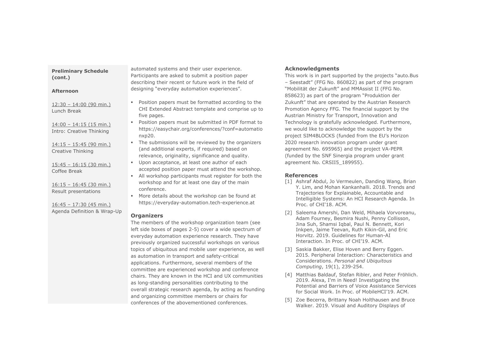# **Preliminary Schedule (cont.)**

## **Afternoon**

12:30 – 14:00 (90 min.)Lunch Break

14:00 – 14:15 (15 min.) Intro: Creative Thinking

14:15 – 15:45 (90 min.) Creative Thinking

15:45 – 16:15 (30 min.) Coffee Break

16:15 – 16:45 (30 min.) Result presentations

16:45 – 17:30 (45 min.) Agenda Definition & Wrap-Up automated systems and their user experience. Participants are asked to submit a position paper describing their recent or future work in the field of designing "everyday automation experiences".

- **•** Position papers must be formatted according to the CHI Extended Abstract template and comprise up tofive pages.
- Position papers must be submitted in PDF format toß https://easychair.org/conferences/?conf=automationxp20.
- The submissions will be reviewed by the organizers (and additional experts, if required) based onrelevance, originality, significance and quality.
- ß Upon acceptance, at least one author of eachaccepted position paper must attend the workshop.
- **All workshop participants must register for both the** workshop and for at least one day of the mainconference.
- ß More details about the workshop can be found at https://everyday-automation.tech-experience.at

# **Organizers**

 The members of the workshop organization team (see left side boxes of pages 2-5) cover a wide spectrum of everyday automation experience research. They have previously organized successful workshops on various topics of ubiquitous and mobile user experience, as well as automation in transport and safety-critical applications. Furthermore, several members of the committee are experienced workshop and conference chairs. They are known in the HCI and UX communities as long-standing personalities contributing to the overall strategic research agenda, by acting as founding and organizing committee members or chairs for conferences of the abovementioned conferences.

# **Acknowledgments**

 This work is in part supported by the projects "auto.Bus – Seestadt" (FFG No. 860822) as part of the program "Mobilität der Zukunft" and MMAssist II (FFG No. 858623) as part of the program "Produktion der Zukunft" that are operated by the Austrian Research Promotion Agency FFG. The financial support by the Austrian Ministry for Transport, Innovation and Technology is gratefully acknowledged. Furthermore, we would like to acknowledge the support by the project SIM4BLOCKS (funded from the EU's Horizon 2020 research innovation program under grant agreement No. 695965) and the project VA-PEPR (funded by the SNF Sinergia program under grant agreement No. CRSII5 189955).

# **References**

- [1] Ashraf Abdul, Jo Vermeulen, Danding Wang, Brian Y. Lim, and Mohan Kankanhalli. 2018. Trends and Trajectories for Explainable, Accountable and Intelligible Systems: An HCI Research Agenda. InProc. of CHI'18. ACM.
- [2] Saleema Amershi, Dan Weld, Mihaela Vorvoreanu, Adam Fourney, Besmira Nushi, Penny Collisson,Jina Suh, Shamsi Iqbal, Paul N. Bennett, Kori Inkpen, Jaime Teevan, Ruth Kikin-Gil, and EricHorvitz. 2019. Guidelines for Human-AIInteraction. In Proc. of CHI'19. ACM.
- [3] Saskia Bakker, Elise Hoven and Berry Eggen. 2015. Peripheral Interaction: Characteristics andConsiderations. *Personal and UbiquitousComputing*, 19(1), 239-254.
- [4] Matthias Baldauf, Stefan Ribler, and Peter Fröhlich. 2019. Alexa, I'm in Need! Investigating the Potential and Barriers of Voice Assistance Servicesfor Social Work. In Proc. of MobileHCI'19. ACM.
- [5] Zoe Becerra, Brittany Noah Holthausen and Bruce Walker. 2019. Visual and Auditory Displays of